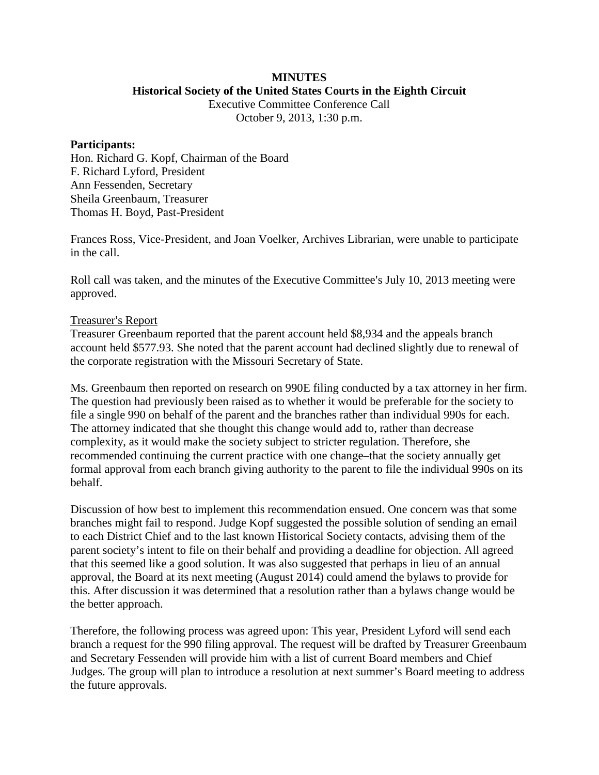#### **MINUTES Historical Society of the United States Courts in the Eighth Circuit**

Executive Committee Conference Call

October 9, 2013, 1:30 p.m.

### **Participants:**

Hon. Richard G. Kopf, Chairman of the Board F. Richard Lyford, President Ann Fessenden, Secretary Sheila Greenbaum, Treasurer Thomas H. Boyd, Past-President

Frances Ross, Vice-President, and Joan Voelker, Archives Librarian, were unable to participate in the call.

Roll call was taken, and the minutes of the Executive Committee's July 10, 2013 meeting were approved.

## Treasurer's Report

Treasurer Greenbaum reported that the parent account held \$8,934 and the appeals branch account held \$577.93. She noted that the parent account had declined slightly due to renewal of the corporate registration with the Missouri Secretary of State.

Ms. Greenbaum then reported on research on 990E filing conducted by a tax attorney in her firm. The question had previously been raised as to whether it would be preferable for the society to file a single 990 on behalf of the parent and the branches rather than individual 990s for each. The attorney indicated that she thought this change would add to, rather than decrease complexity, as it would make the society subject to stricter regulation. Therefore, she recommended continuing the current practice with one change–that the society annually get formal approval from each branch giving authority to the parent to file the individual 990s on its behalf.

Discussion of how best to implement this recommendation ensued. One concern was that some branches might fail to respond. Judge Kopf suggested the possible solution of sending an email to each District Chief and to the last known Historical Society contacts, advising them of the parent society's intent to file on their behalf and providing a deadline for objection. All agreed that this seemed like a good solution. It was also suggested that perhaps in lieu of an annual approval, the Board at its next meeting (August 2014) could amend the bylaws to provide for this. After discussion it was determined that a resolution rather than a bylaws change would be the better approach.

Therefore, the following process was agreed upon: This year, President Lyford will send each branch a request for the 990 filing approval. The request will be drafted by Treasurer Greenbaum and Secretary Fessenden will provide him with a list of current Board members and Chief Judges. The group will plan to introduce a resolution at next summer's Board meeting to address the future approvals.